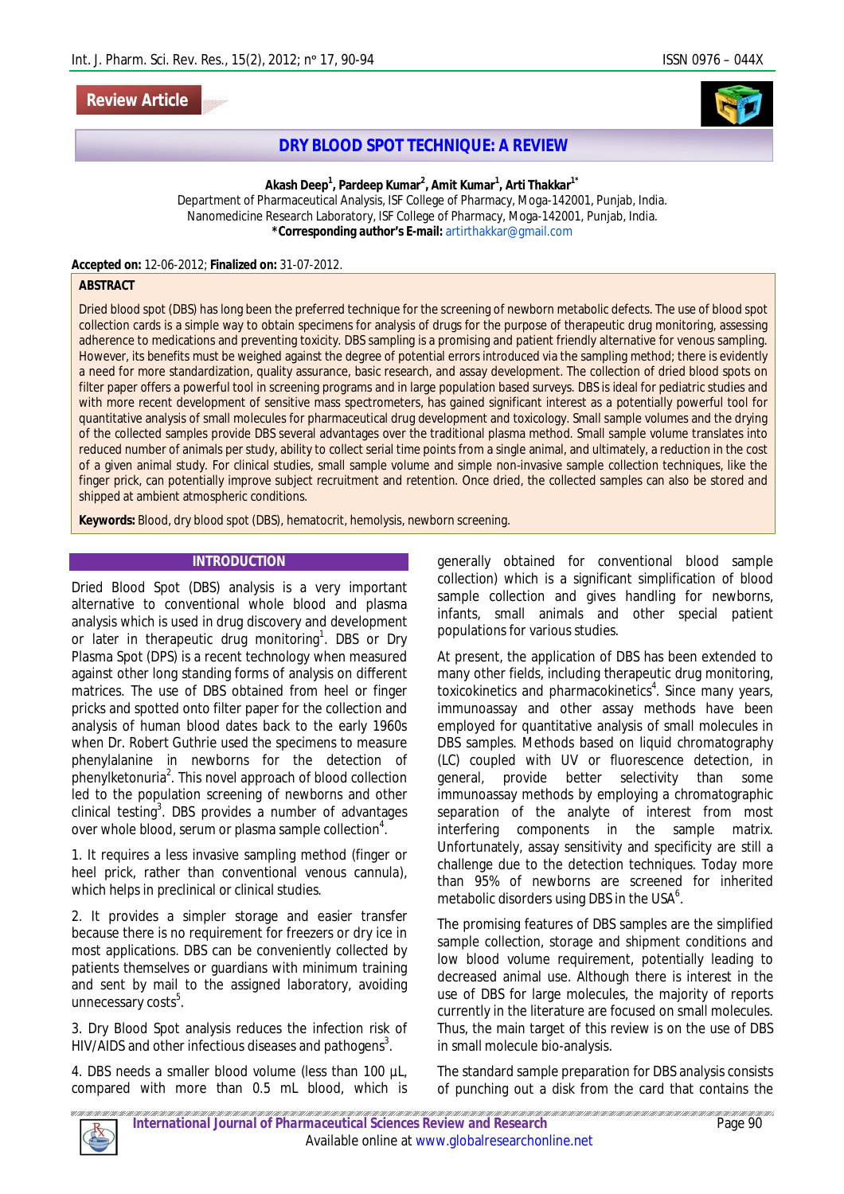# **Review Article**



# **DRY BLOOD SPOT TECHNIQUE:** *A REVIEW*

**Akash Deep<sup>1</sup> , Pardeep Kumar<sup>2</sup> , Amit Kumar<sup>1</sup> , Arti Thakkar1\***

Department of Pharmaceutical Analysis, ISF College of Pharmacy, Moga-142001, Punjab, India. Nanomedicine Research Laboratory, ISF College of Pharmacy, Moga-142001, Punjab, India. **\*Corresponding author's E-mail:** artirthakkar@gmail.com

**Accepted on:** 12-06-2012; **Finalized on:** 31-07-2012.

#### **ABSTRACT**

Dried blood spot (DBS) has long been the preferred technique for the screening of newborn metabolic defects. The use of blood spot collection cards is a simple way to obtain specimens for analysis of drugs for the purpose of therapeutic drug monitoring, assessing adherence to medications and preventing toxicity. DBS sampling is a promising and patient friendly alternative for venous sampling. However, its benefits must be weighed against the degree of potential errors introduced via the sampling method; there is evidently a need for more standardization, quality assurance, basic research, and assay development. The collection of dried blood spots on filter paper offers a powerful tool in screening programs and in large population based surveys. DBS is ideal for pediatric studies and with more recent development of sensitive mass spectrometers, has gained significant interest as a potentially powerful tool for quantitative analysis of small molecules for pharmaceutical drug development and toxicology. Small sample volumes and the drying of the collected samples provide DBS several advantages over the traditional plasma method. Small sample volume translates into reduced number of animals per study, ability to collect serial time points from a single animal, and ultimately, a reduction in the cost of a given animal study. For clinical studies, small sample volume and simple non-invasive sample collection techniques, like the finger prick, can potentially improve subject recruitment and retention. Once dried, the collected samples can also be stored and shipped at ambient atmospheric conditions.

**Keywords:** Blood, dry blood spot (DBS), hematocrit, hemolysis, newborn screening.

#### **INTRODUCTION**

Dried Blood Spot (DBS) analysis is a very important alternative to conventional whole blood and plasma analysis which is used in drug discovery and development or later in therapeutic drug monitoring<sup>1</sup>. DBS or Dry Plasma Spot (DPS) is a recent technology when measured against other long standing forms of analysis on different matrices. The use of DBS obtained from heel or finger pricks and spotted onto filter paper for the collection and analysis of human blood dates back to the early 1960s when Dr. Robert Guthrie used the specimens to measure phenylalanine in newborns for the detection of phenylketonuria<sup>2</sup>. This novel approach of blood collection led to the population screening of newborns and other clinical testing<sup>3</sup>. DBS provides a number of advantages over whole blood, serum or plasma sample collection $^4$ .

1. It requires a less invasive sampling method (finger or heel prick, rather than conventional venous cannula), which helps in preclinical or clinical studies.

2. It provides a simpler storage and easier transfer because there is no requirement for freezers or dry ice in most applications. DBS can be conveniently collected by patients themselves or guardians with minimum training and sent by mail to the assigned laboratory, avoiding unnecessary costs<sup>5</sup>.

3. Dry Blood Spot analysis reduces the infection risk of HIV/AIDS and other infectious diseases and pathogens<sup>3</sup>.

4. DBS needs a smaller blood volume (less than 100 µL, compared with more than 0.5 mL blood, which is

generally obtained for conventional blood sample collection) which is a significant simplification of blood sample collection and gives handling for newborns, infants, small animals and other special patient populations for various studies.

At present, the application of DBS has been extended to many other fields, including therapeutic drug monitoring, toxicokinetics and pharmacokinetics<sup>4</sup>. Since many years, immunoassay and other assay methods have been employed for quantitative analysis of small molecules in DBS samples. Methods based on liquid chromatography (LC) coupled with UV or fluorescence detection, in general, provide better selectivity than some immunoassay methods by employing a chromatographic separation of the analyte of interest from most interfering components in the sample matrix. Unfortunately, assay sensitivity and specificity are still a challenge due to the detection techniques. Today more than 95% of newborns are screened for inherited metabolic disorders using DBS in the USA $^6$ .

The promising features of DBS samples are the simplified sample collection, storage and shipment conditions and low blood volume requirement, potentially leading to decreased animal use. Although there is interest in the use of DBS for large molecules, the majority of reports currently in the literature are focused on small molecules. Thus, the main target of this review is on the use of DBS in small molecule bio-analysis.

The standard sample preparation for DBS analysis consists of punching out a disk from the card that contains the

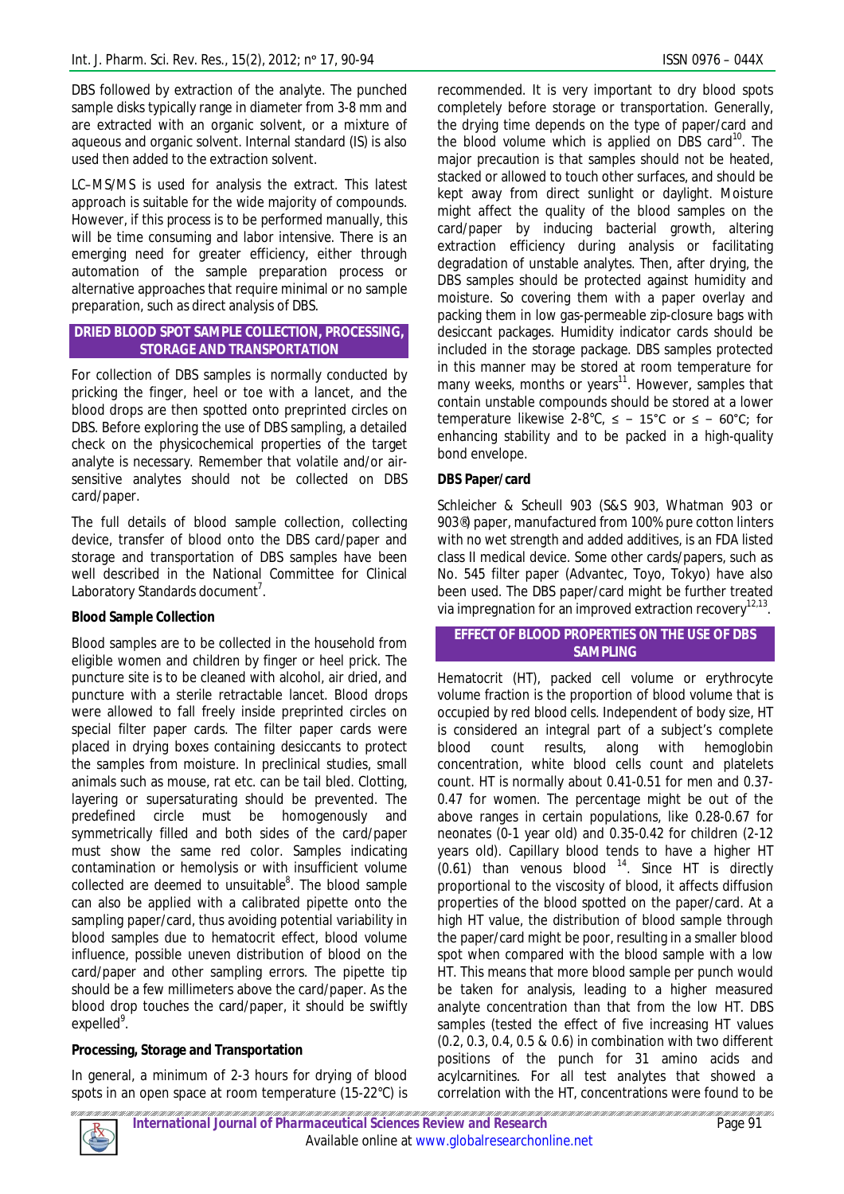DBS followed by extraction of the analyte. The punched sample disks typically range in diameter from 3-8 mm and are extracted with an organic solvent, or a mixture of aqueous and organic solvent. Internal standard (IS) is also used then added to the extraction solvent.

LC–MS/MS is used for analysis the extract. This latest approach is suitable for the wide majority of compounds. However, if this process is to be performed manually, this will be time consuming and labor intensive. There is an emerging need for greater efficiency, either through automation of the sample preparation process or alternative approaches that require minimal or no sample preparation, such as direct analysis of DBS.

## **DRIED BLOOD SPOT SAMPLE COLLECTION, PROCESSING, STORAGE AND TRANSPORTATION**

For collection of DBS samples is normally conducted by pricking the finger, heel or toe with a lancet, and the blood drops are then spotted onto preprinted circles on DBS. Before exploring the use of DBS sampling, a detailed check on the physicochemical properties of the target analyte is necessary. Remember that volatile and/or airsensitive analytes should not be collected on DBS card/paper.

The full details of blood sample collection, collecting device, transfer of blood onto the DBS card/paper and storage and transportation of DBS samples have been well described in the National Committee for Clinical Laboratory Standards document $^7$ .

# **Blood Sample Collection**

Blood samples are to be collected in the household from eligible women and children by finger or heel prick. The puncture site is to be cleaned with alcohol, air dried, and puncture with a sterile retractable lancet. Blood drops were allowed to fall freely inside preprinted circles on special filter paper cards. The filter paper cards were placed in drying boxes containing desiccants to protect the samples from moisture. In preclinical studies, small animals such as mouse, rat etc. can be tail bled. Clotting, layering or supersaturating should be prevented. The predefined circle must be homogenously and symmetrically filled and both sides of the card/paper must show the same red color. Samples indicating contamination or hemolysis or with insufficient volume collected are deemed to unsuitable<sup>8</sup>. The blood sample can also be applied with a calibrated pipette onto the sampling paper/card, thus avoiding potential variability in blood samples due to hematocrit effect, blood volume influence, possible uneven distribution of blood on the card/paper and other sampling errors. The pipette tip should be a few millimeters above the card/paper. As the blood drop touches the card/paper, it should be swiftly expelled<sup>9</sup>.

# **Processing, Storage and Transportation**

In general, a minimum of 2-3 hours for drying of blood spots in an open space at room temperature (15-22°C) is

recommended. It is very important to dry blood spots completely before storage or transportation. Generally, the drying time depends on the type of paper/card and the blood volume which is applied on DBS card $^{10}$ . The major precaution is that samples should not be heated, stacked or allowed to touch other surfaces, and should be kept away from direct sunlight or daylight. Moisture might affect the quality of the blood samples on the card/paper by inducing bacterial growth, altering extraction efficiency during analysis or facilitating degradation of unstable analytes. Then, after drying, the DBS samples should be protected against humidity and moisture. So covering them with a paper overlay and packing them in low gas-permeable zip-closure bags with desiccant packages. Humidity indicator cards should be included in the storage package. DBS samples protected in this manner may be stored at room temperature for many weeks, months or years<sup>11</sup>. However, samples that contain unstable compounds should be stored at a lower temperature likewise 2-8°C, ≤ − 15°C or ≤ − 60°C; for enhancing stability and to be packed in a high-quality bond envelope.

# **DBS Paper/card**

Schleicher & Scheull 903 (S&S 903, Whatman 903 or 903®) paper, manufactured from 100% pure cotton linters with no wet strength and added additives, is an FDA listed class II medical device. Some other cards/papers, such as No. 545 filter paper (Advantec, Toyo, Tokyo) have also been used. The DBS paper/card might be further treated via impregnation for an improved extraction recovery $^{12,13}.$ 

### **EFFECT OF BLOOD PROPERTIES ON THE USE OF DBS SAMPLING**

Hematocrit (HT), packed cell volume or erythrocyte volume fraction is the proportion of blood volume that is occupied by red blood cells. Independent of body size, HT is considered an integral part of a subject's complete blood count results, along with hemoglobin concentration, white blood cells count and platelets count. HT is normally about 0.41-0.51 for men and 0.37- 0.47 for women. The percentage might be out of the above ranges in certain populations, like 0.28-0.67 for neonates (0-1 year old) and 0.35-0.42 for children (2-12 years old). Capillary blood tends to have a higher HT  $(0.61)$  than venous blood  $14$ . Since HT is directly proportional to the viscosity of blood, it affects diffusion properties of the blood spotted on the paper/card. At a high HT value, the distribution of blood sample through the paper/card might be poor, resulting in a smaller blood spot when compared with the blood sample with a low HT. This means that more blood sample per punch would be taken for analysis, leading to a higher measured analyte concentration than that from the low HT. DBS samples (tested the effect of five increasing HT values (0.2, 0.3, 0.4, 0.5 & 0.6) in combination with two different positions of the punch for 31 amino acids and acylcarnitines. For all test analytes that showed a correlation with the HT, concentrations were found to be

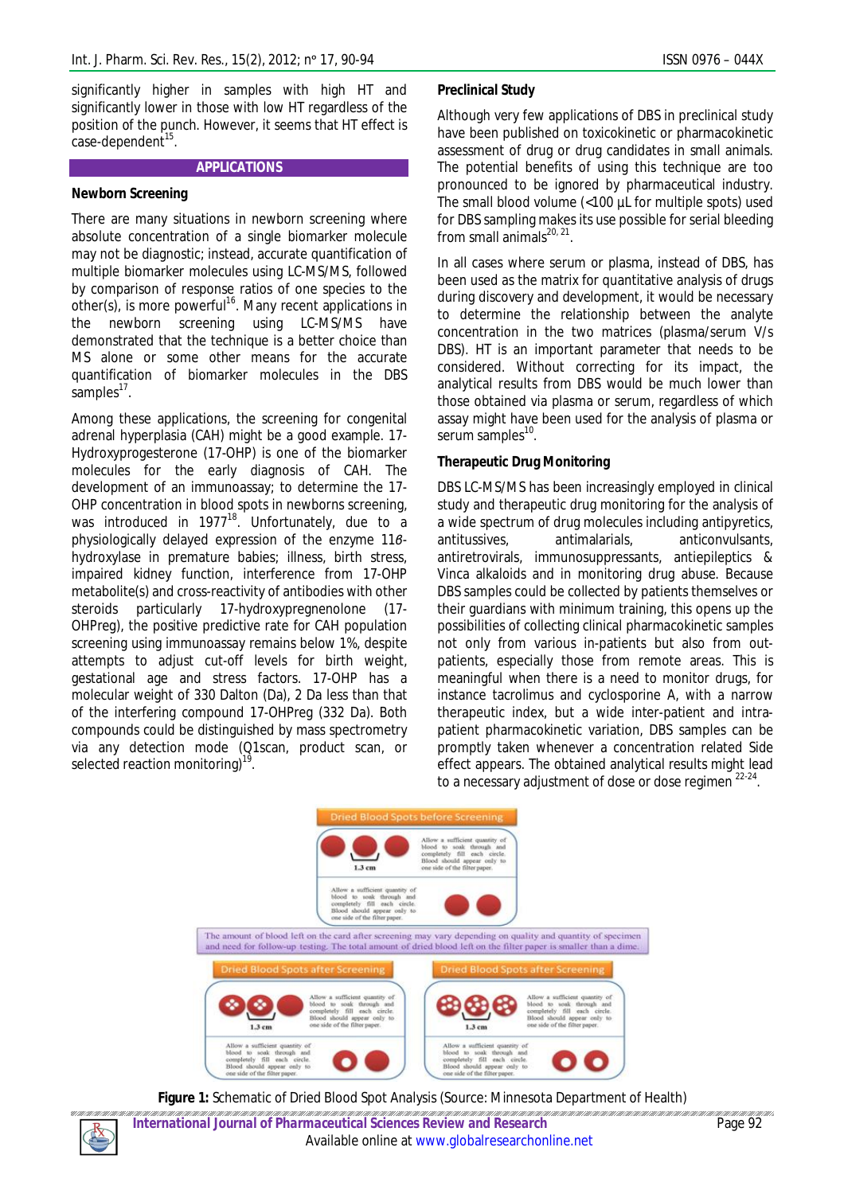significantly higher in samples with high HT and significantly lower in those with low HT regardless of the position of the punch. However, it seems that HT effect is case-dependent<sup>15</sup>.

## **APPLICATIONS**

### **Newborn Screening**

There are many situations in newborn screening where absolute concentration of a single biomarker molecule may not be diagnostic; instead, accurate quantification of multiple biomarker molecules using LC-MS/MS, followed by comparison of response ratios of one species to the other(s), is more powerful<sup>16</sup>. Many recent applications in the newborn screening using LC-MS/MS have demonstrated that the technique is a better choice than MS alone or some other means for the accurate quantification of biomarker molecules in the DBS samples<sup>17</sup>.

Among these applications, the screening for congenital adrenal hyperplasia (CAH) might be a good example. 17- Hydroxyprogesterone (17-OHP) is one of the biomarker molecules for the early diagnosis of CAH. The development of an immunoassay; to determine the 17- OHP concentration in blood spots in newborns screening, was introduced in  $1977^{18}$ . Unfortunately, due to a physiologically delayed expression of the enzyme 11*β*hydroxylase in premature babies; illness, birth stress, impaired kidney function, interference from 17-OHP metabolite(s) and cross-reactivity of antibodies with other steroids particularly 17-hydroxypregnenolone (17- OHPreg), the positive predictive rate for CAH population screening using immunoassay remains below 1%, despite attempts to adjust cut-off levels for birth weight, gestational age and stress factors. 17-OHP has a molecular weight of 330 Dalton (Da), 2 Da less than that of the interfering compound 17-OHPreg (332 Da). Both compounds could be distinguished by mass spectrometry via any detection mode (Q1scan, product scan, or selected reaction monitoring)<sup>1</sup> .

#### **Preclinical Study**

Although very few applications of DBS in preclinical study have been published on toxicokinetic or pharmacokinetic assessment of drug or drug candidates in small animals. The potential benefits of using this technique are too pronounced to be ignored by pharmaceutical industry. The small blood volume (<100 µL for multiple spots) used for DBS sampling makes its use possible for serial bleeding from small animals $^{20, 21}$ .

In all cases where serum or plasma, instead of DBS, has been used as the matrix for quantitative analysis of drugs during discovery and development, it would be necessary to determine the relationship between the analyte concentration in the two matrices (plasma/serum V/s DBS). HT is an important parameter that needs to be considered. Without correcting for its impact, the analytical results from DBS would be much lower than those obtained via plasma or serum, regardless of which assay might have been used for the analysis of plasma or serum samples<sup>10</sup>.

#### **Therapeutic Drug Monitoring**

DBS LC-MS/MS has been increasingly employed in clinical study and therapeutic drug monitoring for the analysis of a wide spectrum of drug molecules including antipyretics, antitussives, antimalarials, anticonvulsants, antiretrovirals, immunosuppressants, antiepileptics & Vinca alkaloids and in monitoring drug abuse. Because DBS samples could be collected by patients themselves or their guardians with minimum training, this opens up the possibilities of collecting clinical pharmacokinetic samples not only from various in-patients but also from outpatients, especially those from remote areas. This is meaningful when there is a need to monitor drugs, for instance tacrolimus and cyclosporine A, with a narrow therapeutic index, but a wide inter-patient and intrapatient pharmacokinetic variation, DBS samples can be promptly taken whenever a concentration related Side effect appears. The obtained analytical results might lead to a necessary adjustment of dose or dose regimen <sup>22-24</sup>.



**Figure 1:** Schematic of Dried Blood Spot Analysis (Source: Minnesota Department of Health)

.<br>11 | 111 | 111 | 111 | 111 | 111 | 111 | 111 | 111 | 111 | 111 | 111 | 111 | 111 | 111 | 111 | 111 | 111 | 11 *International Journal of Pharmaceutical Sciences Review and Research* Page 92 Available online at www.globalresearchonline.net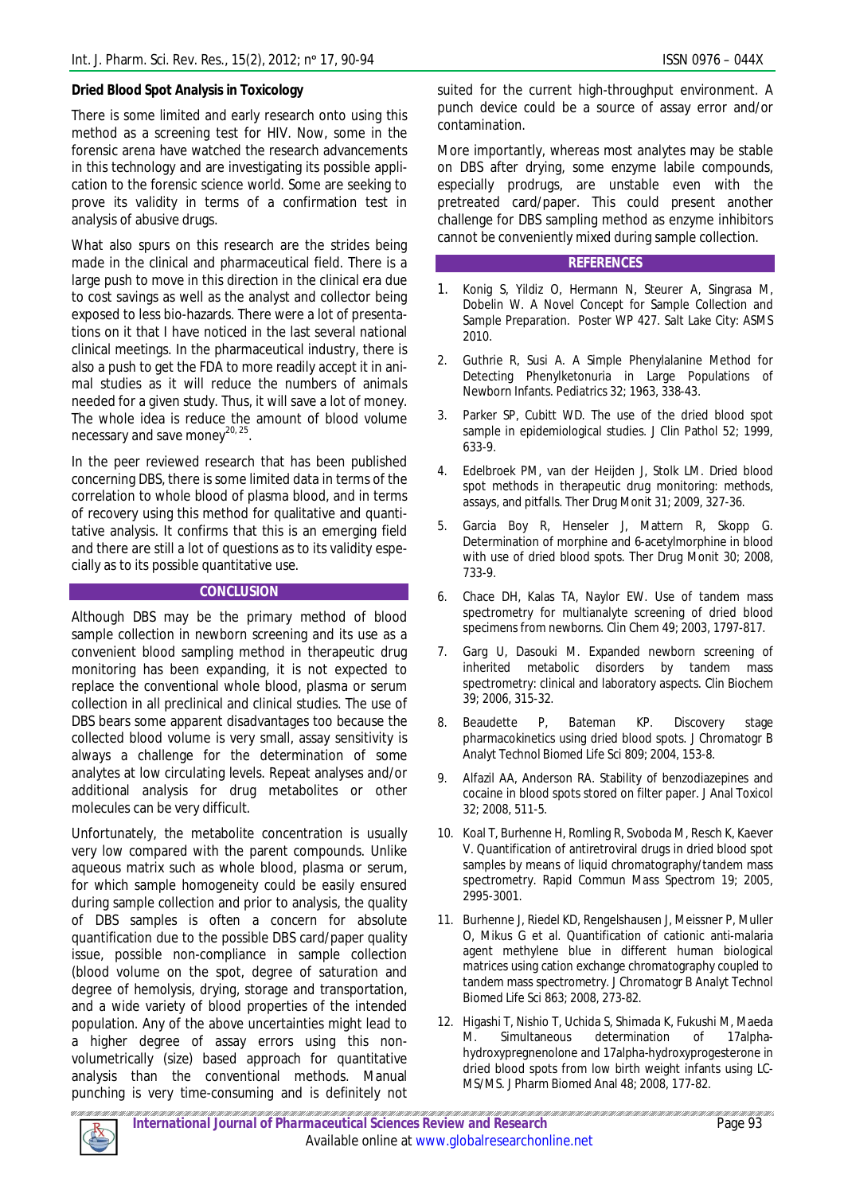## **Dried Blood Spot Analysis in Toxicology**

There is some limited and early research onto using this method as a screening test for HIV. Now, some in the forensic arena have watched the research advancements in this technology and are investigating its possible application to the forensic science world. Some are seeking to prove its validity in terms of a confirmation test in analysis of abusive drugs.

What also spurs on this research are the strides being made in the clinical and pharmaceutical field. There is a large push to move in this direction in the clinical era due to cost savings as well as the analyst and collector being exposed to less bio-hazards. There were a lot of presentations on it that I have noticed in the last several national clinical meetings. In the pharmaceutical industry, there is also a push to get the FDA to more readily accept it in animal studies as it will reduce the numbers of animals needed for a given study. Thus, it will save a lot of money. The whole idea is reduce the amount of blood volume necessary and save money<sup>20, 25</sup>.

In the peer reviewed research that has been published concerning DBS, there is some limited data in terms of the correlation to whole blood of plasma blood, and in terms of recovery using this method for qualitative and quantitative analysis. It confirms that this is an emerging field and there are still a lot of questions as to its validity especially as to its possible quantitative use.

### **CONCLUSION**

Although DBS may be the primary method of blood sample collection in newborn screening and its use as a convenient blood sampling method in therapeutic drug monitoring has been expanding, it is not expected to replace the conventional whole blood, plasma or serum collection in all preclinical and clinical studies. The use of DBS bears some apparent disadvantages too because the collected blood volume is very small, assay sensitivity is always a challenge for the determination of some analytes at low circulating levels. Repeat analyses and/or additional analysis for drug metabolites or other molecules can be very difficult.

Unfortunately, the metabolite concentration is usually very low compared with the parent compounds. Unlike aqueous matrix such as whole blood, plasma or serum, for which sample homogeneity could be easily ensured during sample collection and prior to analysis, the quality of DBS samples is often a concern for absolute quantification due to the possible DBS card/paper quality issue, possible non-compliance in sample collection (blood volume on the spot, degree of saturation and degree of hemolysis, drying, storage and transportation, and a wide variety of blood properties of the intended population. Any of the above uncertainties might lead to a higher degree of assay errors using this nonvolumetrically (size) based approach for quantitative analysis than the conventional methods. Manual punching is very time-consuming and is definitely not

suited for the current high-throughput environment. A punch device could be a source of assay error and/or contamination.

More importantly, whereas most analytes may be stable on DBS after drying, some enzyme labile compounds, especially prodrugs, are unstable even with the pretreated card/paper. This could present another challenge for DBS sampling method as enzyme inhibitors cannot be conveniently mixed during sample collection.

#### **REFERENCES**

- 1. Konig S, Yildiz O, Hermann N, Steurer A, Singrasa M, Dobelin W. A Novel Concept for Sample Collection and Sample Preparation. *Poster WP 427*. Salt Lake City: ASMS 2010.
- 2. Guthrie R, Susi A. A Simple Phenylalanine Method for Detecting Phenylketonuria in Large Populations of Newborn Infants. Pediatrics 32; 1963, 338-43.
- 3. Parker SP, Cubitt WD. The use of the dried blood spot sample in epidemiological studies. J Clin Pathol 52; 1999, 633-9.
- 4. Edelbroek PM, van der Heijden J, Stolk LM. Dried blood spot methods in therapeutic drug monitoring: methods, assays, and pitfalls. Ther Drug Monit 31; 2009, 327-36.
- 5. Garcia Boy R, Henseler J, Mattern R, Skopp G. Determination of morphine and 6-acetylmorphine in blood with use of dried blood spots. Ther Drug Monit 30; 2008, 733-9.
- 6. Chace DH, Kalas TA, Naylor EW. Use of tandem mass spectrometry for multianalyte screening of dried blood specimens from newborns. Clin Chem 49; 2003, 1797-817.
- 7. Garg U, Dasouki M. Expanded newborn screening of inherited metabolic disorders by tandem mass spectrometry: clinical and laboratory aspects. Clin Biochem 39; 2006, 315-32.
- 8. Beaudette P, Bateman KP. Discovery stage pharmacokinetics using dried blood spots. J Chromatogr B Analyt Technol Biomed Life Sci 809; 2004, 153-8.
- 9. Alfazil AA, Anderson RA. Stability of benzodiazepines and cocaine in blood spots stored on filter paper. J Anal Toxicol 32; 2008, 511-5.
- 10. Koal T, Burhenne H, Romling R, Svoboda M, Resch K, Kaever V. Quantification of antiretroviral drugs in dried blood spot samples by means of liquid chromatography/tandem mass spectrometry. Rapid Commun Mass Spectrom 19; 2005, 2995-3001.
- 11. Burhenne J, Riedel KD, Rengelshausen J, Meissner P, Muller O, Mikus G et al. Quantification of cationic anti-malaria agent methylene blue in different human biological matrices using cation exchange chromatography coupled to tandem mass spectrometry. J Chromatogr B Analyt Technol Biomed Life Sci 863; 2008, 273-82.
- 12. Higashi T, Nishio T, Uchida S, Shimada K, Fukushi M, Maeda M. Simultaneous determination of 17alphahydroxypregnenolone and 17alpha-hydroxyprogesterone in dried blood spots from low birth weight infants using LC-MS/MS. J Pharm Biomed Anal 48; 2008, 177-82.